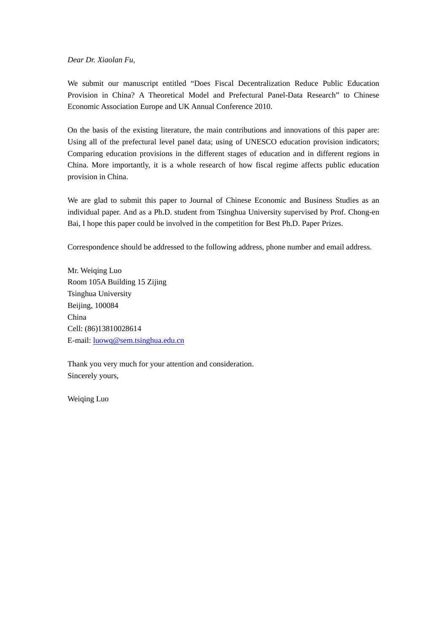*Dear Dr. Xiaolan Fu,* 

We submit our manuscript entitled "Does Fiscal Decentralization Reduce Public Education Provision in China? A Theoretical Model and Prefectural Panel-Data Research" to Chinese Economic Association Europe and UK Annual Conference 2010.

On the basis of the existing literature, the main contributions and innovations of this paper are: Using all of the prefectural level panel data; using of UNESCO education provision indicators; Comparing education provisions in the different stages of education and in different regions in China. More importantly, it is a whole research of how fiscal regime affects public education provision in China.

We are glad to submit this paper to Journal of Chinese Economic and Business Studies as an individual paper. And as a Ph.D. student from Tsinghua University supervised by Prof. Chong-en Bai, I hope this paper could be involved in the competition for Best Ph.D. Paper Prizes.

Correspondence should be addressed to the following address, phone number and email address.

Mr. Weiqing Luo Room 105A Building 15 Zijing Tsinghua University Beijing, 100084 China Cell: (86)13810028614 E-mail: luowq@sem.tsinghua.edu.cn

Thank you very much for your attention and consideration. Sincerely yours,

Weiqing Luo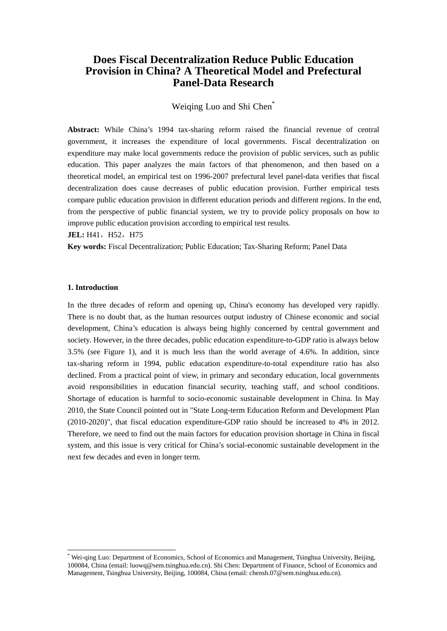# **Does Fiscal Decentralization Reduce Public Education Provision in China? A Theoretical Model and Prefectural Panel-Data Research**

# Weiqing Luo and Shi Chen\*

**Abstract:** While China's 1994 tax-sharing reform raised the financial revenue of central government, it increases the expenditure of local governments. Fiscal decentralization on expenditure may make local governments reduce the provision of public services, such as public education. This paper analyzes the main factors of that phenomenon, and then based on a theoretical model, an empirical test on 1996-2007 prefectural level panel-data verifies that fiscal decentralization does cause decreases of public education provision. Further empirical tests compare public education provision in different education periods and different regions. In the end, from the perspective of public financial system, we try to provide policy proposals on how to improve public education provision according to empirical test results.

### **JEL:** H41, H52, H75

**Key words:** Fiscal Decentralization; Public Education; Tax-Sharing Reform; Panel Data

## **1. Introduction**

-

In the three decades of reform and opening up, China's economy has developed very rapidly. There is no doubt that, as the human resources output industry of Chinese economic and social development, China's education is always being highly concerned by central government and society. However, in the three decades, public education expenditure-to-GDP ratio is always below 3.5% (see Figure 1), and it is much less than the world average of 4.6%. In addition, since tax-sharing reform in 1994, public education expenditure-to-total expenditure ratio has also declined. From a practical point of view, in primary and secondary education, local governments avoid responsibilities in education financial security, teaching staff, and school conditions. Shortage of education is harmful to socio-economic sustainable development in China. In May 2010, the State Council pointed out in "State Long-term Education Reform and Development Plan (2010-2020)", that fiscal education expenditure-GDP ratio should be increased to 4% in 2012. Therefore, we need to find out the main factors for education provision shortage in China in fiscal system, and this issue is very critical for China's social-economic sustainable development in the next few decades and even in longer term.

<sup>\*</sup> Wei-qing Luo: Department of Economics, School of Economics and Management, Tsinghua University, Beijing, 100084, China (email: luowq@sem.tsinghua.edu.cn). Shi Chen: Department of Finance, School of Economics and Management, Tsinghua University, Beijing, 100084, China (email: chensh.07@sem.tsinghua.edu.cn).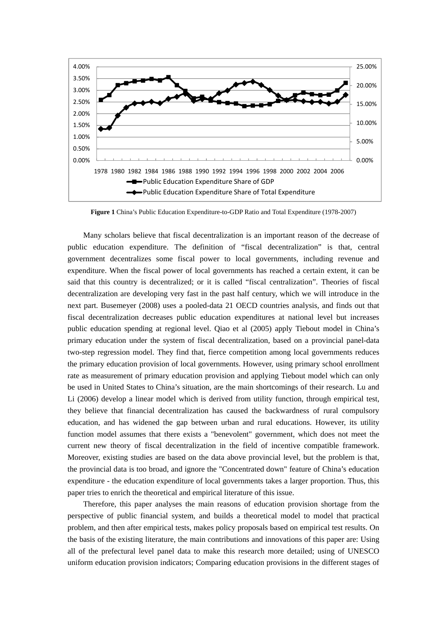

**Figure 1** China's Public Education Expenditure-to-GDP Ratio and Total Expenditure (1978-2007)

Many scholars believe that fiscal decentralization is an important reason of the decrease of public education expenditure. The definition of "fiscal decentralization" is that, central government decentralizes some fiscal power to local governments, including revenue and expenditure. When the fiscal power of local governments has reached a certain extent, it can be said that this country is decentralized; or it is called "fiscal centralization". Theories of fiscal decentralization are developing very fast in the past half century, which we will introduce in the next part. Busemeyer (2008) uses a pooled-data 21 OECD countries analysis, and finds out that fiscal decentralization decreases public education expenditures at national level but increases public education spending at regional level. Qiao et al (2005) apply Tiebout model in China's primary education under the system of fiscal decentralization, based on a provincial panel-data two-step regression model. They find that, fierce competition among local governments reduces the primary education provision of local governments. However, using primary school enrollment rate as measurement of primary education provision and applying Tiebout model which can only be used in United States to China's situation, are the main shortcomings of their research. Lu and Li (2006) develop a linear model which is derived from utility function, through empirical test, they believe that financial decentralization has caused the backwardness of rural compulsory education, and has widened the gap between urban and rural educations. However, its utility function model assumes that there exists a "benevolent" government, which does not meet the current new theory of fiscal decentralization in the field of incentive compatible framework. Moreover, existing studies are based on the data above provincial level, but the problem is that, the provincial data is too broad, and ignore the "Concentrated down" feature of China's education expenditure - the education expenditure of local governments takes a larger proportion. Thus, this paper tries to enrich the theoretical and empirical literature of this issue.

Therefore, this paper analyses the main reasons of education provision shortage from the perspective of public financial system, and builds a theoretical model to model that practical problem, and then after empirical tests, makes policy proposals based on empirical test results. On the basis of the existing literature, the main contributions and innovations of this paper are: Using all of the prefectural level panel data to make this research more detailed; using of UNESCO uniform education provision indicators; Comparing education provisions in the different stages of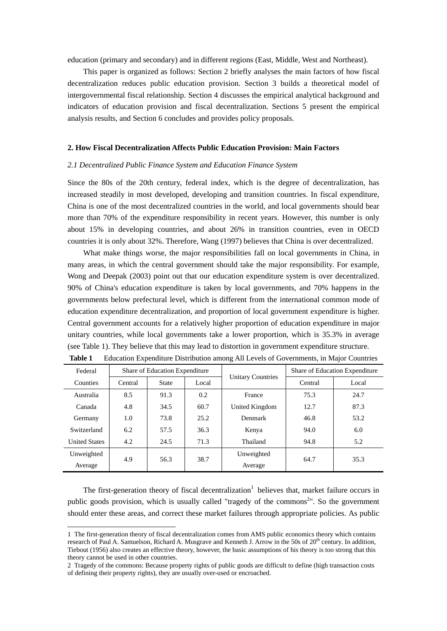education (primary and secondary) and in different regions (East, Middle, West and Northeast).

This paper is organized as follows: Section 2 briefly analyses the main factors of how fiscal decentralization reduces public education provision. Section 3 builds a theoretical model of intergovernmental fiscal relationship. Section 4 discusses the empirical analytical background and indicators of education provision and fiscal decentralization. Sections 5 present the empirical analysis results, and Section 6 concludes and provides policy proposals.

## **2. How Fiscal Decentralization Affects Public Education Provision: Main Factors**

#### *2.1 Decentralized Public Finance System and Education Finance System*

Since the 80s of the 20th century, federal index, which is the degree of decentralization, has increased steadily in most developed, developing and transition countries. In fiscal expenditure, China is one of the most decentralized countries in the world, and local governments should bear more than 70% of the expenditure responsibility in recent years. However, this number is only about 15% in developing countries, and about 26% in transition countries, even in OECD countries it is only about 32%. Therefore, Wang (1997) believes that China is over decentralized.

What make things worse, the major responsibilities fall on local governments in China, in many areas, in which the central government should take the major responsibility. For example, Wong and Deepak (2003) point out that our education expenditure system is over decentralized. 90% of China's education expenditure is taken by local governments, and 70% happens in the governments below prefectural level, which is different from the international common mode of education expenditure decentralization, and proportion of local government expenditure is higher. Central government accounts for a relatively higher proportion of education expenditure in major unitary countries, while local governments take a lower proportion, which is 35.3% in average (see Table 1). They believe that this may lead to distortion in government expenditure structure.

| Federal              |         | Share of Education Expenditure |       | <b>Unitary Countries</b> |         | Share of Education Expenditure |
|----------------------|---------|--------------------------------|-------|--------------------------|---------|--------------------------------|
| Counties             | Central | <b>State</b>                   | Local |                          | Central | Local                          |
| Australia            | 8.5     | 91.3                           | 0.2   | France                   | 75.3    | 24.7                           |
| Canada               | 4.8     | 34.5                           | 60.7  | United Kingdom           | 12.7    | 87.3                           |
| Germany              | 1.0     | 73.8                           | 25.2  | Denmark                  | 46.8    | 53.2                           |
| Switzerland          | 6.2     | 57.5                           | 36.3  | Kenya                    | 94.0    | 6.0                            |
| <b>United States</b> | 4.2     | 24.5                           | 71.3  | Thailand                 | 94.8    | 5.2                            |
| Unweighted           |         | 56.3                           | 38.7  | Unweighted               | 64.7    |                                |
| Average              | 4.9     |                                |       | Average                  |         | 35.3                           |

|  | Table 1 Education Expenditure Distribution among All Levels of Governments, in Major Countries |  |  |  |  |  |
|--|------------------------------------------------------------------------------------------------|--|--|--|--|--|
|--|------------------------------------------------------------------------------------------------|--|--|--|--|--|

The first-generation theory of fiscal decentralization<sup>1</sup> believes that, market failure occurs in public goods provision, which is usually called "tragedy of the commons<sup>2</sup>". So the government should enter these areas, and correct these market failures through appropriate policies. As public

-

<sup>1</sup> The first-generation theory of fiscal decentralization comes from AMS public economics theory which contains research of Paul A. Samuelson, Richard A. Musgrave and Kenneth J. Arrow in the 50s of 20<sup>th</sup> century. In addition, Tiebout (1956) also creates an effective theory, however, the basic assumptions of his theory is too strong that this theory cannot be used in other countries.

<sup>2</sup> Tragedy of the commons: Because property rights of public goods are difficult to define (high transaction costs of defining their property rights), they are usually over-used or encroached.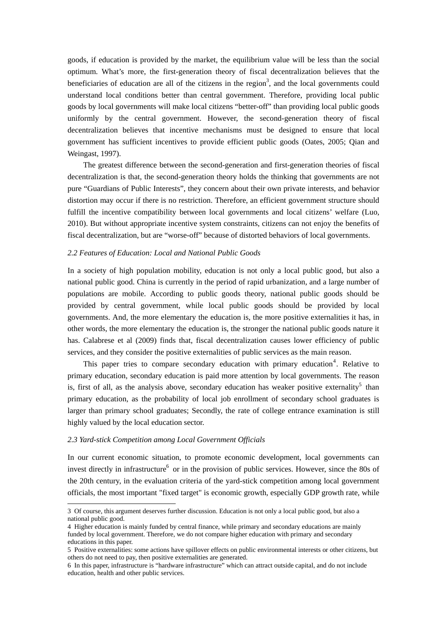goods, if education is provided by the market, the equilibrium value will be less than the social optimum. What's more, the first-generation theory of fiscal decentralization believes that the beneficiaries of education are all of the citizens in the region<sup>3</sup>, and the local governments could understand local conditions better than central government. Therefore, providing local public goods by local governments will make local citizens "better-off" than providing local public goods uniformly by the central government. However, the second-generation theory of fiscal decentralization believes that incentive mechanisms must be designed to ensure that local government has sufficient incentives to provide efficient public goods (Oates, 2005; Qian and Weingast, 1997).

The greatest difference between the second-generation and first-generation theories of fiscal decentralization is that, the second-generation theory holds the thinking that governments are not pure "Guardians of Public Interests", they concern about their own private interests, and behavior distortion may occur if there is no restriction. Therefore, an efficient government structure should fulfill the incentive compatibility between local governments and local citizens' welfare (Luo, 2010). But without appropriate incentive system constraints, citizens can not enjoy the benefits of fiscal decentralization, but are "worse-off" because of distorted behaviors of local governments.

### *2.2 Features of Education: Local and National Public Goods*

In a society of high population mobility, education is not only a local public good, but also a national public good. China is currently in the period of rapid urbanization, and a large number of populations are mobile. According to public goods theory, national public goods should be provided by central government, while local public goods should be provided by local governments. And, the more elementary the education is, the more positive externalities it has, in other words, the more elementary the education is, the stronger the national public goods nature it has. Calabrese et al (2009) finds that, fiscal decentralization causes lower efficiency of public services, and they consider the positive externalities of public services as the main reason.

This paper tries to compare secondary education with primary education<sup>4</sup>. Relative to primary education, secondary education is paid more attention by local governments. The reason is, first of all, as the analysis above, secondary education has weaker positive externality<sup>5</sup> than primary education, as the probability of local job enrollment of secondary school graduates is larger than primary school graduates; Secondly, the rate of college entrance examination is still highly valued by the local education sector.

# *2.3 Yard-stick Competition among Local Government Officials*

-

In our current economic situation, to promote economic development, local governments can invest directly in infrastructure $<sup>6</sup>$  or in the provision of public services. However, since the 80s of</sup> the 20th century, in the evaluation criteria of the yard-stick competition among local government officials, the most important "fixed target" is economic growth, especially GDP growth rate, while

<sup>3</sup> Of course, this argument deserves further discussion. Education is not only a local public good, but also a national public good.

<sup>4</sup> Higher education is mainly funded by central finance, while primary and secondary educations are mainly funded by local government. Therefore, we do not compare higher education with primary and secondary educations in this paper.

<sup>5</sup> Positive externalities: some actions have spillover effects on public environmental interests or other citizens, but others do not need to pay, then positive externalities are generated.

<sup>6</sup> In this paper, infrastructure is "hardware infrastructure" which can attract outside capital, and do not include education, health and other public services.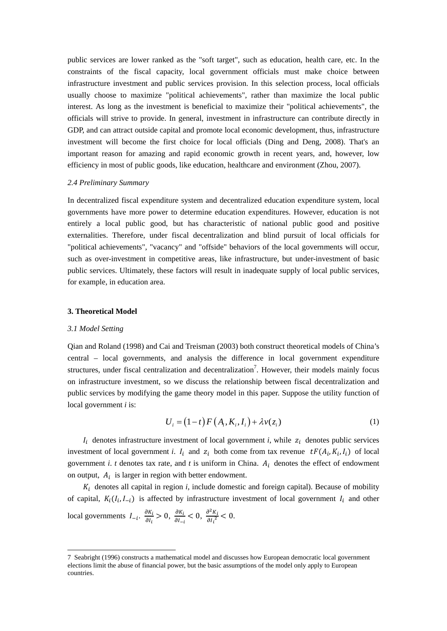public services are lower ranked as the "soft target", such as education, health care, etc. In the constraints of the fiscal capacity, local government officials must make choice between infrastructure investment and public services provision. In this selection process, local officials usually choose to maximize "political achievements", rather than maximize the local public interest. As long as the investment is beneficial to maximize their "political achievements", the officials will strive to provide. In general, investment in infrastructure can contribute directly in GDP, and can attract outside capital and promote local economic development, thus, infrastructure investment will become the first choice for local officials (Ding and Deng, 2008). That's an important reason for amazing and rapid economic growth in recent years, and, however, low efficiency in most of public goods, like education, healthcare and environment (Zhou, 2007).

#### *2.4 Preliminary Summary*

In decentralized fiscal expenditure system and decentralized education expenditure system, local governments have more power to determine education expenditures. However, education is not entirely a local public good, but has characteristic of national public good and positive externalities. Therefore, under fiscal decentralization and blind pursuit of local officials for "political achievements", "vacancy" and "offside" behaviors of the local governments will occur, such as over-investment in competitive areas, like infrastructure, but under-investment of basic public services. Ultimately, these factors will result in inadequate supply of local public services, for example, in education area.

#### **3. Theoretical Model**

#### *3.1 Model Setting*

-

Qian and Roland (1998) and Cai and Treisman (2003) both construct theoretical models of China's central – local governments, and analysis the difference in local government expenditure structures, under fiscal centralization and decentralization<sup>7</sup>. However, their models mainly focus on infrastructure investment, so we discuss the relationship between fiscal decentralization and public services by modifying the game theory model in this paper. Suppose the utility function of local government *i* is:

$$
U_i = (1-t)F(A_i, K_i, I_i) + \lambda v(z_i)
$$
\n<sup>(1)</sup>

 $I_i$  denotes infrastructure investment of local government *i*, while  $z_i$  denotes public services investment of local government *i*.  $I_i$  and  $z_i$  both come from tax revenue  $tF(A_i, K_i, I_i)$  of local government *i*. *t* denotes tax rate, and *t* is uniform in China.  $A_i$  denotes the effect of endowment on output,  $A_i$  is larger in region with better endowment.

 $K_i$  denotes all capital in region  $i$ , include domestic and foreign capital). Because of mobility of capital,  $K_i(I_i, I_{-i})$  is affected by infrastructure investment of local government  $I_i$  and other local governments  $I_{-i}$ .  $\frac{\partial K_i}{\partial I_i} > 0$ ,  $\frac{\partial K_i}{\partial I_{-i}} < 0$ ,  $\frac{\partial^2 K_i}{\partial I_i^2} < 0$ .

<sup>7</sup> Seabright (1996) constructs a mathematical model and discusses how European democratic local government elections limit the abuse of financial power, but the basic assumptions of the model only apply to European countries.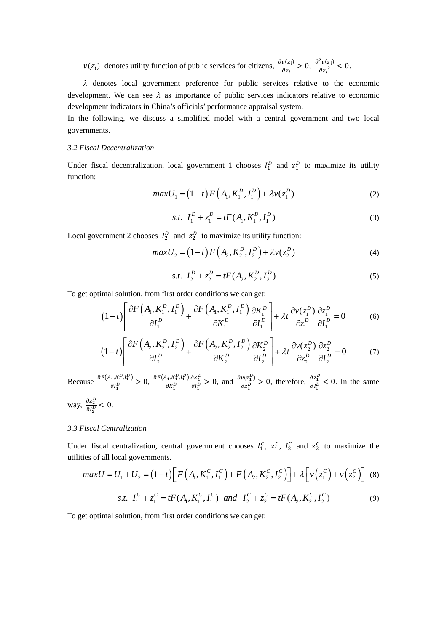$v(z_i)$  denotes utility function of public services for citizens,  $\frac{\partial v(z_i)}{\partial z_i} > 0$ ,  $\frac{\partial^2 v(z_i)}{\partial z_i^2} < 0$ .

 $\lambda$  denotes local government preference for public services relative to the economic development. We can see  $\lambda$  as importance of public services indicators relative to economic development indicators in China's officials' performance appraisal system.

In the following, we discuss a simplified model with a central government and two local governments.

# *3.2 Fiscal Decentralization*

Under fiscal decentralization, local government 1 chooses  $I_1^D$  and  $z_1^D$  to maximize its utility function:

$$
maxU_1 = (1-t) F(A_1, K_1^D, I_1^D) + \lambda v(z_1^D)
$$
 (2)

s.t. 
$$
I_1^D + z_1^D = tF(A_1, K_1^D, I_1^D)
$$
 (3)

Local government 2 chooses  $I_2^D$  and  $z_2^D$  to maximize its utility function:

$$
maxU_2 = (1-t)F(A_2, K_2^D, I_2^D) + \lambda v(z_2^D)
$$
\n(4)

s.t. 
$$
I_2^D + z_2^D = tF(A_2, K_2^D, I_2^D)
$$
 (5)

To get optimal solution, from first order conditions we can get:

$$
(1-t)\left[\frac{\partial F(A_1, K_1^D, I_1^D)}{\partial I_1^D} + \frac{\partial F(A_1, K_1^D, I_1^D)}{\partial K_1^D} \frac{\partial K_1^D}{\partial I_1^D}\right] + \lambda t \frac{\partial v(z_1^D)}{\partial z_1^D} \frac{\partial z_1^D}{\partial I_1^D} = 0 \tag{6}
$$

$$
(1-t)\left[\frac{\partial F\left(A_{2}, K_{2}^{D}, I_{2}^{D}\right)}{\partial I_{2}^{D}} + \frac{\partial F\left(A_{2}, K_{2}^{D}, I_{2}^{D}\right)}{\partial K_{2}^{D}} \frac{\partial K_{2}^{D}}{\partial I_{2}^{D}}\right] + \lambda t \frac{\partial v(z_{2}^{D})}{\partial z_{2}^{D}} \frac{\partial z_{2}^{D}}{\partial I_{2}^{D}} = 0 \tag{7}
$$

Because  $\frac{\partial F(A_1,K_1^D,I_1^D)}{\partial I_n^D}$  $\frac{\partial a_1 R_1^D}{\partial l_1^D} > 0, \frac{\partial F(A_1, K_1^D, l_1^D)}{\partial K_1^D}$  $\frac{A_1, K_1^D, I_1^D}{\partial K_1^D} \frac{\partial K_1^D}{\partial I_1^D}$  $\frac{\partial K_1^D}{\partial l_1^D} > 0$ , and  $\frac{\partial v(z_1^D)}{\partial z_1^D}$  $\frac{v(z_1^D)}{\partial z_1^D} > 0$ , therefore,  $\frac{\partial z_1^D}{\partial t_1^D}$  $\frac{\partial z_1}{\partial l_1^D}$  < 0. In the same way,  $\frac{\partial z_2^D}{\partial x^D}$  $\frac{\partial z_2}{\partial l_2^D} < 0.$ 

# *3.3 Fiscal Centralization*

Under fiscal centralization, central government chooses  $I_1^C$ ,  $Z_1^C$ ,  $I_2^C$  and  $Z_2^C$  to maximize the utilities of all local governments.

$$
maxU = U_1 + U_2 = (1-t)\left[F\left(A_1, K_1^C, I_1^C\right) + F\left(A_2, K_2^C, I_2^C\right)\right] + \lambda\left[v\left(z_1^C\right) + v\left(z_2^C\right)\right] \tag{8}
$$

s.t. 
$$
I_1^C + z_1^C = tF(A_1, K_1^C, I_1^C)
$$
 and  $I_2^C + z_2^C = tF(A_2, K_2^C, I_2^C)$  (9)

To get optimal solution, from first order conditions we can get: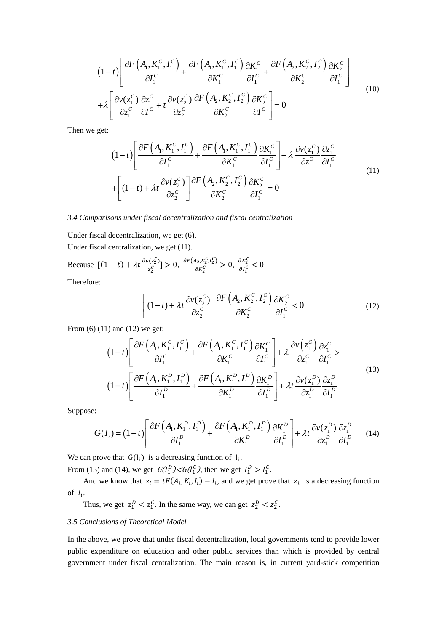$$
(1-t)\left[\frac{\partial F\left(A_{1}, K_{1}^{C}, I_{1}^{C}\right)}{\partial I_{1}^{C}} + \frac{\partial F\left(A_{1}, K_{1}^{C}, I_{1}^{C}\right)}{\partial K_{1}^{C}} \frac{\partial K_{1}^{C}}{\partial I_{1}^{C}} + \frac{\partial F\left(A_{2}, K_{2}^{C}, I_{2}^{C}\right)}{\partial K_{2}^{C}} \frac{\partial K_{2}^{C}}{\partial I_{1}^{C}}\right] + \lambda \left[\frac{\partial v(z_{1}^{C})}{\partial z_{1}^{C}} \frac{\partial z_{1}^{C}}{\partial I_{1}^{C}} + t \frac{\partial v(z_{2}^{C})}{\partial z_{2}^{C}} \frac{\partial F\left(A_{2}, K_{2}^{C}, I_{2}^{C}\right)}{\partial K_{2}^{C}} \frac{\partial K_{2}^{C}}{\partial I_{1}^{C}}\right] = 0
$$
\n(10)

Then we get:

$$
(1-t)\left[\frac{\partial F\left(A_{1}, K_{1}^{C}, I_{1}^{C}\right)}{\partial I_{1}^{C}} + \frac{\partial F\left(A_{1}, K_{1}^{C}, I_{1}^{C}\right)}{\partial K_{1}^{C}} \frac{\partial K_{1}^{C}}{\partial I_{1}^{C}}\right] + \lambda \frac{\partial v(z_{1}^{C})}{\partial z_{1}^{C}} \frac{\partial z_{1}^{C}}{\partial I_{1}^{C}} + \left[(1-t) + \lambda t \frac{\partial v(z_{2}^{C})}{\partial z_{2}^{C}} \right] \frac{\partial F\left(A_{2}, K_{2}^{C}, I_{2}^{C}\right)}{\partial K_{2}^{C}} \frac{\partial K_{2}^{C}}{\partial I_{1}^{C}} = 0
$$
\n(11)

## *3.4 Comparisons under fiscal decentralization and fiscal centralization*

Under fiscal decentralization, we get (6).

Under fiscal centralization, we get (11).

Because  $[(1-t) + \lambda t \frac{\partial v(z_2^C)}{\partial x}]$  $\frac{\partial r(z_2^C)}{\partial z_2^C}$ ] > 0,  $\frac{\partial F(A_2, K_2^C, I_2^C)}{\partial K_2^C}$  $\frac{A_{2}, K_{2}^{C}, I_{2}^{C}}{\partial K_{2}^{C}} > 0, \frac{\partial K_{2}^{C}}{\partial I_{1}^{C}}$  $\frac{\partial K_2}{\partial I_1^C}$  < 0

Therefore:

$$
\left[ (1-t) + \lambda t \frac{\partial v(z_2^C)}{\partial z_2^C} \right] \frac{\partial F\left(A_2, K_2^C, I_2^C\right)}{\partial K_2^C} \frac{\partial K_2^C}{\partial I_1^C} < 0 \tag{12}
$$

From (6) (11) and (12) we get:

$$
(1-t)\left[\frac{\partial F(A_{1}, K_{1}^{C}, I_{1}^{C})}{\partial I_{1}^{C}} + \frac{\partial F(A_{1}, K_{1}^{C}, I_{1}^{C})}{\partial K_{1}^{C}}\frac{\partial K_{1}^{C}}{\partial I_{1}^{C}}\right] + \lambda \frac{\partial v(z_{1}^{C})}{\partial z_{1}^{C}}\frac{\partial z_{1}^{C}}{\partial I_{1}^{C}} > (1-t)\left[\frac{\partial F(A_{1}, K_{1}^{D}, I_{1}^{D})}{\partial I_{1}^{D}} + \frac{\partial F(A_{1}, K_{1}^{D}, I_{1}^{D})}{\partial K_{1}^{D}}\frac{\partial K_{1}^{D}}{\partial I_{1}^{D}}\right] + \lambda t \frac{\partial v(z_{1}^{D})}{\partial z_{1}^{D}}\frac{\partial z_{1}^{D}}{\partial I_{1}^{D}}
$$
(13)

Suppose:

$$
G(I_i) = (1-t)\left[\frac{\partial F\left(A_1, K_1^D, I_1^D\right)}{\partial I_1^D} + \frac{\partial F\left(A_1, K_1^D, I_1^D\right)}{\partial K_1^D}\frac{\partial K_1^D}{\partial I_1^D}\right] + \lambda t \frac{\partial v(z_1^D)}{\partial z_1^D}\frac{\partial z_1^D}{\partial I_1^D} \tag{14}
$$

We can prove that  $G(I_i)$  is a decreasing function of  $I_i$ .

From (13) and (14), we get  $G(I_1^D) < G(I_1^C)$ , then we get  $I_1^D > I_1^C$ .

And we know that  $z_i = tF(A_i, K_i, I_i) - I_i$ , and we get prove that  $z_i$  is a decreasing function of  $I_i$ .

Thus, we get  $z_1^D < z_1^C$ . In the same way, we can get  $z_2^D < z_2^C$ .

# *3.5 Conclusions of Theoretical Model*

In the above, we prove that under fiscal decentralization, local governments tend to provide lower public expenditure on education and other public services than which is provided by central government under fiscal centralization. The main reason is, in current yard-stick competition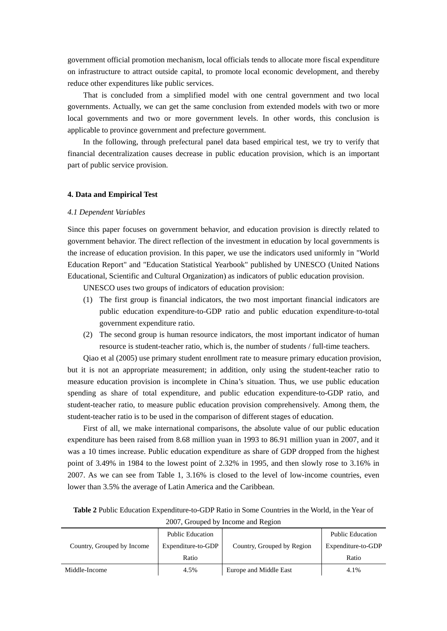government official promotion mechanism, local officials tends to allocate more fiscal expenditure on infrastructure to attract outside capital, to promote local economic development, and thereby reduce other expenditures like public services.

That is concluded from a simplified model with one central government and two local governments. Actually, we can get the same conclusion from extended models with two or more local governments and two or more government levels. In other words, this conclusion is applicable to province government and prefecture government.

In the following, through prefectural panel data based empirical test, we try to verify that financial decentralization causes decrease in public education provision, which is an important part of public service provision.

## **4. Data and Empirical Test**

#### *4.1 Dependent Variables*

Since this paper focuses on government behavior, and education provision is directly related to government behavior. The direct reflection of the investment in education by local governments is the increase of education provision. In this paper, we use the indicators used uniformly in "World Education Report" and "Education Statistical Yearbook" published by UNESCO (United Nations Educational, Scientific and Cultural Organization) as indicators of public education provision.

UNESCO uses two groups of indicators of education provision:

- (1) The first group is financial indicators, the two most important financial indicators are public education expenditure-to-GDP ratio and public education expenditure-to-total government expenditure ratio.
- (2) The second group is human resource indicators, the most important indicator of human resource is student-teacher ratio, which is, the number of students / full-time teachers.

Qiao et al (2005) use primary student enrollment rate to measure primary education provision, but it is not an appropriate measurement; in addition, only using the student-teacher ratio to measure education provision is incomplete in China's situation. Thus, we use public education spending as share of total expenditure, and public education expenditure-to-GDP ratio, and student-teacher ratio, to measure public education provision comprehensively. Among them, the student-teacher ratio is to be used in the comparison of different stages of education.

First of all, we make international comparisons, the absolute value of our public education expenditure has been raised from 8.68 million yuan in 1993 to 86.91 million yuan in 2007, and it was a 10 times increase. Public education expenditure as share of GDP dropped from the highest point of 3.49% in 1984 to the lowest point of 2.32% in 1995, and then slowly rose to 3.16% in 2007. As we can see from Table 1, 3.16% is closed to the level of low-income countries, even lower than 3.5% the average of Latin America and the Caribbean.

| $2007$ , Oroupca by Income and Region |                         |                            |                         |  |  |
|---------------------------------------|-------------------------|----------------------------|-------------------------|--|--|
|                                       | <b>Public Education</b> |                            | <b>Public Education</b> |  |  |
| Country, Grouped by Income            | Expenditure-to-GDP      | Country, Grouped by Region | Expenditure-to-GDP      |  |  |
|                                       | Ratio                   |                            | Ratio                   |  |  |
| Middle-Income                         | 4.5%                    | Europe and Middle East     | 4.1%                    |  |  |

2007, Grouped by Income and Region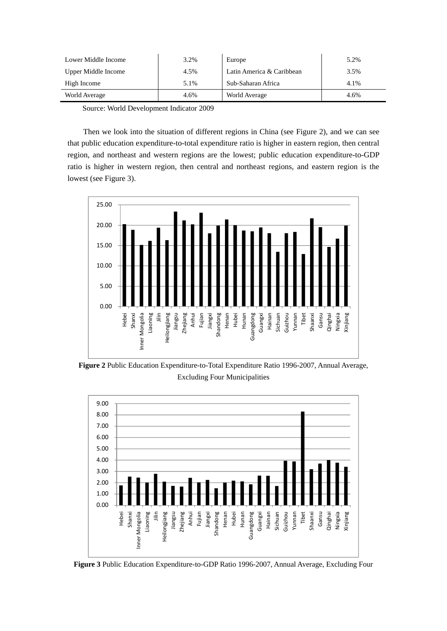| Lower Middle Income | 3.2% | Europe                    | 5.2% |
|---------------------|------|---------------------------|------|
| Upper Middle Income | 4.5% | Latin America & Caribbean | 3.5% |
| High Income         | 5.1% | Sub-Saharan Africa        | 4.1% |
| World Average       | 4.6% | World Average             | 4.6% |

Source: World Development Indicator 2009

Then we look into the situation of different regions in China (see Figure 2), and we can see that public education expenditure-to-total expenditure ratio is higher in eastern region, then central region, and northeast and western regions are the lowest; public education expenditure-to-GDP ratio is higher in western region, then central and northeast regions, and eastern region is the lowest (see Figure 3).



**Figure 2** Public Education Expenditure-to-Total Expenditure Ratio 1996-2007, Annual Average, Excluding Four Municipalities



**Figure 3** Public Education Expenditure-to-GDP Ratio 1996-2007, Annual Average, Excluding Four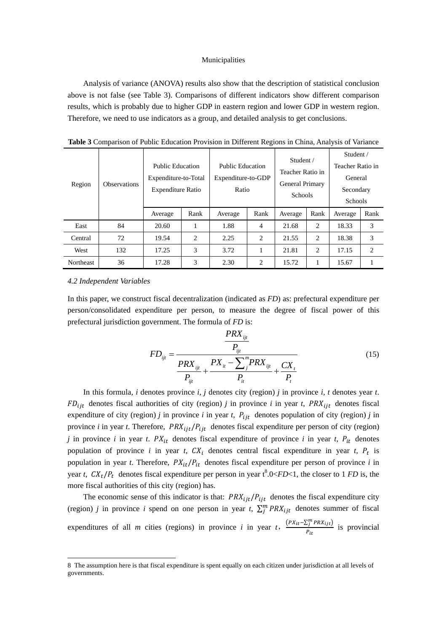#### Municipalities

Analysis of variance (ANOVA) results also show that the description of statistical conclusion above is not false (see Table 3). Comparisons of different indicators show different comparison results, which is probably due to higher GDP in eastern region and lower GDP in western region. Therefore, we need to use indicators as a group, and detailed analysis to get conclusions.

| Region  | <b>Observations</b> | <b>Public Education</b><br>Expenditure-to-Total<br><b>Expenditure Ratio</b> |      | <b>Public Education</b><br>Expenditure-to-GDP<br>Ratio |      | Student /<br>Teacher Ratio in<br><b>General Primary</b><br><b>Schools</b> |      | Student /<br>Teacher Ratio in<br>General<br>Secondary<br>Schools |      |
|---------|---------------------|-----------------------------------------------------------------------------|------|--------------------------------------------------------|------|---------------------------------------------------------------------------|------|------------------------------------------------------------------|------|
|         |                     | Average                                                                     | Rank | Average                                                | Rank | Average                                                                   | Rank | Average                                                          | Rank |
| East    |                     |                                                                             |      |                                                        |      |                                                                           |      |                                                                  |      |
|         | 84                  | 20.60                                                                       | 1    | 1.88                                                   | 4    | 21.68                                                                     | 2    | 18.33                                                            | 3    |
| Central | 72                  | 19.54                                                                       | 2    | 2.25                                                   | 2    | 21.55                                                                     | 2    | 18.38                                                            | 3    |
| West    | 132                 | 17.25                                                                       | 3    | 3.72                                                   | 1    | 21.81                                                                     | 2    | 17.15                                                            | 2    |

**Table 3** Comparison of Public Education Provision in Different Regions in China, Analysis of Variance

#### *4.2 Independent Variables*

<u>.</u>

In this paper, we construct fiscal decentralization (indicated as *FD*) as: prefectural expenditure per person/consolidated expenditure per person, to measure the degree of fiscal power of this prefectural jurisdiction government. The formula of *FD* is:

$$
FD_{ijt} = \frac{PRX_{ijt}}{P_{ijt}} + \frac{PX_{it} - \sum_{j}^{m}PRX_{ijt}}{P_{ijt}} + \frac{PX_{it} - \sum_{j}^{m}PRX_{ijt}}{P_{it}} + \frac{CX_{t}}{P_{t}}
$$
(15)

In this formula, *i* denotes province *i*, *j* denotes city (region) *j* in province *i*, *t* denotes year *t*.  $FD_{ijt}$  denotes fiscal authorities of city (region) *j* in province *i* in year *t*,  $PRX_{ijt}$  denotes fiscal expenditure of city (region) *j* in province *i* in year *t*,  $P_{ijt}$  denotes population of city (region) *j* in province *i* in year *t*. Therefore,  $PRX_{ijt}/P_{ijt}$  denotes fiscal expenditure per person of city (region) *j* in province *i* in year *t*.  $PX_{it}$  denotes fiscal expenditure of province *i* in year *t*,  $P_{it}$  denotes population of province *i* in year *t*,  $CX_t$  denotes central fiscal expenditure in year *t*,  $P_t$  is population in year *t*. Therefore,  $PX_{it}/P_{it}$  denotes fiscal expenditure per person of province *i* in year *t*,  $CX_t/P_t$  denotes fiscal expenditure per person in year  $t^8.0 < FD < 1$ , the closer to 1 *FD* is, the more fiscal authorities of this city (region) has.

The economic sense of this indicator is that:  $PRX_{i, it}/P_{i, it}$  denotes the fiscal expenditure city (region) *j* in province *i* spend on one person in year *t*,  $\sum_{j=1}^{m} PRX_{ijt}$  denotes summer of fiscal expenditures of all *m* cities (regions) in province *i* in year *t*,  $\frac{(PX_{it} - \sum_{j}^{m} PRX_{ijt})}{\sum_{j}^{n}}$  $\frac{E_j + i \pi t}{P_{it}}$  is provincial

<sup>8</sup> The assumption here is that fiscal expenditure is spent equally on each citizen under jurisdiction at all levels of governments.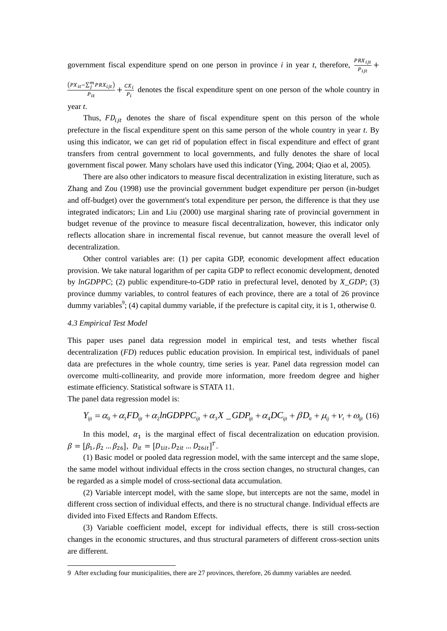government fiscal expenditure spend on one person in province *i* in year *t*, therefore,  $\frac{PRX_{ijt}}{P_{ijt}} +$ 

 $(PX_{it} - \sum_{j}^{m} PRX_{ijt})$  $d_{ij}^{S_i^mPRX_{ijt}}$  +  $\frac{CX_i}{P_{it}}$  denotes the fiscal expenditure spent on one person of the whole country in year *t*.

Thus,  $FD_{ijt}$  denotes the share of fiscal expenditure spent on this person of the whole prefecture in the fiscal expenditure spent on this same person of the whole country in year *t*. By using this indicator, we can get rid of population effect in fiscal expenditure and effect of grant transfers from central government to local governments, and fully denotes the share of local government fiscal power. Many scholars have used this indicator (Ying, 2004; Qiao et al, 2005).

There are also other indicators to measure fiscal decentralization in existing literature, such as Zhang and Zou (1998) use the provincial government budget expenditure per person (in-budget and off-budget) over the government's total expenditure per person, the difference is that they use integrated indicators; Lin and Liu (2000) use marginal sharing rate of provincial government in budget revenue of the province to measure fiscal decentralization, however, this indicator only reflects allocation share in incremental fiscal revenue, but cannot measure the overall level of decentralization.

Other control variables are: (1) per capita GDP, economic development affect education provision. We take natural logarithm of per capita GDP to reflect economic development, denoted by *lnGDPPC*; (2) public expenditure-to-GDP ratio in prefectural level, denoted by *X\_GDP*; (3) province dummy variables, to control features of each province, there are a total of 26 province dummy variables<sup>9</sup>; (4) capital dummy variable, if the prefecture is capital city, it is 1, otherwise 0.

# *4.3 Empirical Test Model*

-

This paper uses panel data regression model in empirical test, and tests whether fiscal decentralization (*FD*) reduces public education provision. In empirical test, individuals of panel data are prefectures in the whole country, time series is year. Panel data regression model can overcome multi-collinearity, and provide more information, more freedom degree and higher estimate efficiency. Statistical software is STATA 11.

The panel data regression model is:

$$
Y_{ijt} = \alpha_0 + \alpha_1 FD_{ijt} + \alpha_2 ln GDPPC_{ijt} + \alpha_3 X \_GDP_{ijt} + \alpha_4 DC_{ijt} + \beta D_{it} + \mu_{ij} + \nu_t + \omega_{ijt} (16)
$$

In this model,  $\alpha_1$  is the marginal effect of fiscal decentralization on education provision.  $\beta = [\beta_1, \beta_2 \dots \beta_{26}], \ D_{it} = [D_{1it}, D_{2it} \dots D_{26it}]^T.$ 

(1) Basic model or pooled data regression model, with the same intercept and the same slope, the same model without individual effects in the cross section changes, no structural changes, can be regarded as a simple model of cross-sectional data accumulation.

(2) Variable intercept model, with the same slope, but intercepts are not the same, model in different cross section of individual effects, and there is no structural change. Individual effects are divided into Fixed Effects and Random Effects.

(3) Variable coefficient model, except for individual effects, there is still cross-section changes in the economic structures, and thus structural parameters of different cross-section units are different.

<sup>9</sup> After excluding four municipalities, there are 27 provinces, therefore, 26 dummy variables are needed.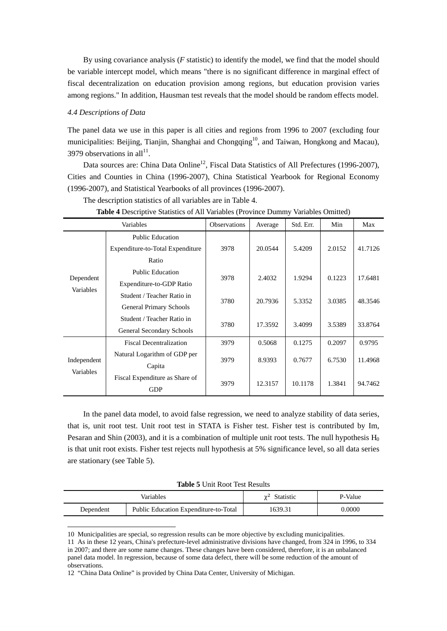By using covariance analysis (*F* statistic) to identify the model, we find that the model should be variable intercept model, which means "there is no significant difference in marginal effect of fiscal decentralization on education provision among regions, but education provision varies among regions." In addition, Hausman test reveals that the model should be random effects model.

## *4.4 Descriptions of Data*

-

The panel data we use in this paper is all cities and regions from 1996 to 2007 (excluding four municipalities: Beijing, Tianjin, Shanghai and Chongqing<sup>10</sup>, and Taiwan, Hongkong and Macau), 3979 observations in all<sup>11</sup>.

Data sources are: China Data Online<sup>12</sup>, Fiscal Data Statistics of All Prefectures (1996-2007), Cities and Counties in China (1996-2007), China Statistical Yearbook for Regional Economy (1996-2007), and Statistical Yearbooks of all provinces (1996-2007).

| Variables              |                                  | <b>Observations</b> | Average | Std. Err. | Min    | Max     |
|------------------------|----------------------------------|---------------------|---------|-----------|--------|---------|
|                        | <b>Public Education</b>          |                     |         |           |        |         |
|                        | Expenditure-to-Total Expenditure | 3978                | 20.0544 | 5.4209    | 2.0152 | 41.7126 |
|                        | Ratio                            |                     |         |           |        |         |
|                        | <b>Public Education</b>          | 3978                | 2.4032  | 1.9294    | 0.1223 | 17.6481 |
| Dependent<br>Variables | Expenditure-to-GDP Ratio         |                     |         |           |        |         |
|                        | Student / Teacher Ratio in       | 3780                | 20.7936 | 5.3352    | 3.0385 | 48.3546 |
|                        | <b>General Primary Schools</b>   |                     |         |           |        |         |
|                        | Student / Teacher Ratio in       | 3780                | 17.3592 | 3.4099    | 3.5389 | 33.8764 |
|                        | General Secondary Schools        |                     |         |           |        |         |
|                        | <b>Fiscal Decentralization</b>   | 3979                | 0.5068  | 0.1275    | 0.2097 | 0.9795  |
|                        | Natural Logarithm of GDP per     | 3979                |         |           | 6.7530 | 11.4968 |
| Independent            | Capita                           |                     | 8.9393  | 0.7677    |        |         |
| Variables              | Fiscal Expenditure as Share of   |                     | 12.3157 |           |        | 94.7462 |
|                        | <b>GDP</b>                       | 3979                |         | 10.1178   | 1.3841 |         |

**Table 4** Descriptive Statistics of All Variables (Province Dummy Variables Omitted)

The description statistics of all variables are in Table 4.

In the panel data model, to avoid false regression, we need to analyze stability of data series, that is, unit root test. Unit root test in STATA is Fisher test. Fisher test is contributed by Im, Pesaran and Shin (2003), and it is a combination of multiple unit root tests. The null hypothesis  $H_0$ is that unit root exists. Fisher test rejects null hypothesis at 5% significance level, so all data series are stationary (see Table 5).

**Table 5** Unit Root Test Results

|           | Variables                             | Statistic<br>$v^2$ | P-Value |
|-----------|---------------------------------------|--------------------|---------|
| Dependent | Public Education Expenditure-to-Total | 1639.31            | 0.0000  |

<sup>10</sup> Municipalities are special, so regression results can be more objective by excluding municipalities.

<sup>11</sup> As in these 12 years, China's prefecture-level administrative divisions have changed, from 324 in 1996, to 334 in 2007; and there are some name changes. These changes have been considered, therefore, it is an unbalanced panel data model. In regression, because of some data defect, there will be some reduction of the amount of observations.

<sup>12 &</sup>quot;China Data Online" is provided by China Data Center, University of Michigan.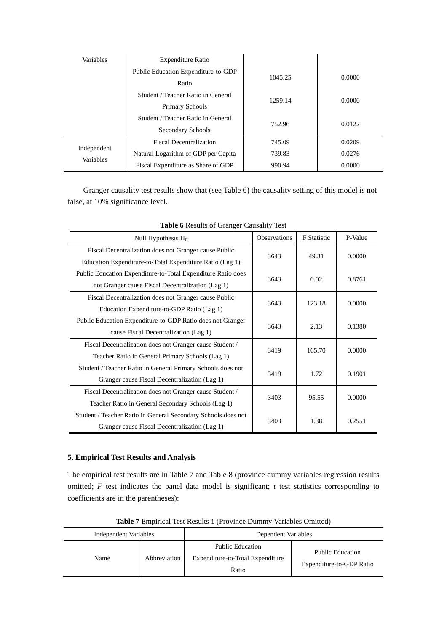| Variables                       | <b>Expenditure Ratio</b>            |         |        |  |
|---------------------------------|-------------------------------------|---------|--------|--|
|                                 | Public Education Expenditure-to-GDP | 1045.25 | 0.0000 |  |
|                                 | Ratio                               |         |        |  |
|                                 | Student / Teacher Ratio in General  | 1259.14 |        |  |
|                                 | Primary Schools                     |         | 0.0000 |  |
|                                 | Student / Teacher Ratio in General  | 752.96  | 0.0122 |  |
|                                 | Secondary Schools                   |         |        |  |
|                                 | <b>Fiscal Decentralization</b>      | 745.09  | 0.0209 |  |
| Independent<br><b>Variables</b> | Natural Logarithm of GDP per Capita | 739.83  | 0.0276 |  |
|                                 | Fiscal Expenditure as Share of GDP  | 990.94  | 0.0000 |  |

Granger causality test results show that (see Table 6) the causality setting of this model is not false, at 10% significance level.

| Null Hypothesis H <sub>0</sub>                                | Observations | <b>F</b> Statistic | P-Value |
|---------------------------------------------------------------|--------------|--------------------|---------|
| Fiscal Decentralization does not Granger cause Public         | 3643         | 49.31              | 0.0000  |
| Education Expenditure-to-Total Expenditure Ratio (Lag 1)      |              |                    |         |
| Public Education Expenditure-to-Total Expenditure Ratio does  | 3643         | 0.02               |         |
| not Granger cause Fiscal Decentralization (Lag 1)             |              |                    | 0.8761  |
| Fiscal Decentralization does not Granger cause Public         |              |                    |         |
| Education Expenditure-to-GDP Ratio (Lag 1)                    | 3643         | 123.18             | 0.0000  |
| Public Education Expenditure-to-GDP Ratio does not Granger    | 3643         | 2.13               |         |
| cause Fiscal Decentralization (Lag 1)                         |              |                    | 0.1380  |
| Fiscal Decentralization does not Granger cause Student /      | 3419         | 165.70             | 0.0000  |
| Teacher Ratio in General Primary Schools (Lag 1)              |              |                    |         |
| Student / Teacher Ratio in General Primary Schools does not   | 3419         | 1.72               | 0.1901  |
| Granger cause Fiscal Decentralization (Lag 1)                 |              |                    |         |
| Fiscal Decentralization does not Granger cause Student /      | 3403         | 95.55              | 0.0000  |
| Teacher Ratio in General Secondary Schools (Lag 1)            |              |                    |         |
| Student / Teacher Ratio in General Secondary Schools does not | 3403         | 1.38               | 0.2551  |
| Granger cause Fiscal Decentralization (Lag 1)                 |              |                    |         |

**Table 6** Results of Granger Causality Test

# **5. Empirical Test Results and Analysis**

The empirical test results are in Table 7 and Table 8 (province dummy variables regression results omitted; *F* test indicates the panel data model is significant; *t* test statistics corresponding to coefficients are in the parentheses):

| Independent Variables |              | Dependent Variables                                                  |                                                     |  |
|-----------------------|--------------|----------------------------------------------------------------------|-----------------------------------------------------|--|
| Name                  | Abbreviation | <b>Public Education</b><br>Expenditure-to-Total Expenditure<br>Ratio | <b>Public Education</b><br>Expenditure-to-GDP Ratio |  |

**Table 7** Empirical Test Results 1 (Province Dummy Variables Omitted)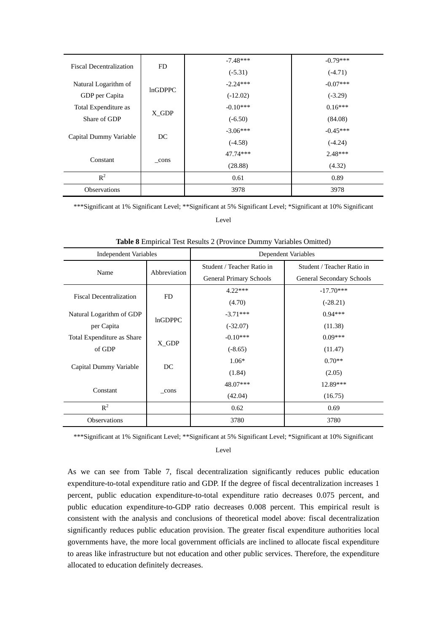|                                | FD.     | $-7.48***$ | $-0.79***$ |
|--------------------------------|---------|------------|------------|
| <b>Fiscal Decentralization</b> |         | $(-5.31)$  | $(-4.71)$  |
| Natural Logarithm of           | InGDPPC | $-2.24***$ | $-0.07***$ |
| GDP per Capita                 |         | $(-12.02)$ | $(-3.29)$  |
| Total Expenditure as           |         | $-0.10***$ | $0.16***$  |
| Share of GDP                   | X GDP   | $(-6.50)$  | (84.08)    |
| Capital Dummy Variable         | DC      | $-3.06***$ | $-0.45***$ |
|                                |         | $(-4.58)$  | $(-4.24)$  |
|                                |         | 47.74***   | $2.48***$  |
| Constant                       | cons    | (28.88)    | (4.32)     |
| $R^2$                          |         | 0.61       | 0.89       |
| <b>Observations</b>            |         | 3978       | 3978       |

\*\*\*Significant at 1% Significant Level; \*\*Significant at 5% Significant Level; \*Significant at 10% Significant Level

| <b>Independent Variables</b>   |                | Dependent Variables            |                            |  |
|--------------------------------|----------------|--------------------------------|----------------------------|--|
| Name                           | Abbreviation   | Student / Teacher Ratio in     | Student / Teacher Ratio in |  |
|                                |                | <b>General Primary Schools</b> | General Secondary Schools  |  |
| <b>Fiscal Decentralization</b> | FD             | $4.22***$                      | $-17.70***$                |  |
|                                |                | (4.70)                         | $(-28.21)$                 |  |
| Natural Logarithm of GDP       | <b>InGDPPC</b> | $-3.71***$                     | $0.94***$                  |  |
| per Capita                     |                | $(-32.07)$                     | (11.38)                    |  |
| Total Expenditure as Share     |                | $-0.10***$                     | $0.09***$                  |  |
| of GDP                         | X_GDP          | $(-8.65)$                      | (11.47)                    |  |
| Capital Dummy Variable         | DC             | $1.06*$                        | $0.70**$                   |  |
|                                |                | (1.84)                         | (2.05)                     |  |
| Constant                       | _cons          | 48.07***                       | 12.89***                   |  |
|                                |                | (42.04)                        | (16.75)                    |  |
| $R^2$                          |                | 0.62                           | 0.69                       |  |
| Observations                   |                | 3780                           | 3780                       |  |

**Table 8** Empirical Test Results 2 (Province Dummy Variables Omitted)

\*\*\*Significant at 1% Significant Level; \*\*Significant at 5% Significant Level; \*Significant at 10% Significant

Level

As we can see from Table 7, fiscal decentralization significantly reduces public education expenditure-to-total expenditure ratio and GDP. If the degree of fiscal decentralization increases 1 percent, public education expenditure-to-total expenditure ratio decreases 0.075 percent, and public education expenditure-to-GDP ratio decreases 0.008 percent. This empirical result is consistent with the analysis and conclusions of theoretical model above: fiscal decentralization significantly reduces public education provision. The greater fiscal expenditure authorities local governments have, the more local government officials are inclined to allocate fiscal expenditure to areas like infrastructure but not education and other public services. Therefore, the expenditure allocated to education definitely decreases.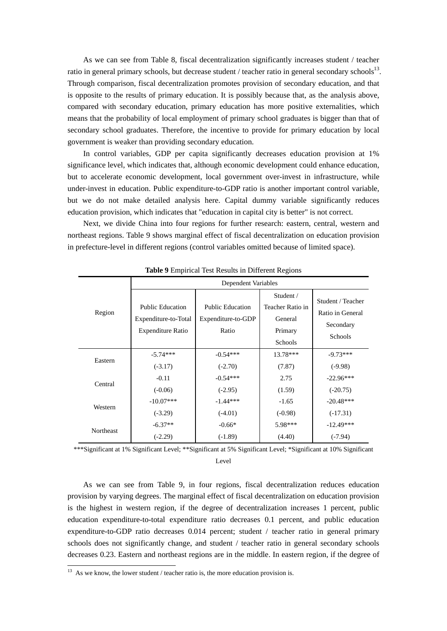As we can see from Table 8, fiscal decentralization significantly increases student / teacher ratio in general primary schools, but decrease student / teacher ratio in general secondary schools<sup>13</sup>. Through comparison, fiscal decentralization promotes provision of secondary education, and that is opposite to the results of primary education. It is possibly because that, as the analysis above, compared with secondary education, primary education has more positive externalities, which means that the probability of local employment of primary school graduates is bigger than that of secondary school graduates. Therefore, the incentive to provide for primary education by local government is weaker than providing secondary education.

In control variables, GDP per capita significantly decreases education provision at 1% significance level, which indicates that, although economic development could enhance education, but to accelerate economic development, local government over-invest in infrastructure, while under-invest in education. Public expenditure-to-GDP ratio is another important control variable, but we do not make detailed analysis here. Capital dummy variable significantly reduces education provision, which indicates that "education in capital city is better" is not correct.

Next, we divide China into four regions for further research: eastern, central, western and northeast regions. Table 9 shows marginal effect of fiscal decentralization on education provision in prefecture-level in different regions (control variables omitted because of limited space).

|           | Dependent Variables                                                         |                                                        |                                                                       |                                                               |  |  |
|-----------|-----------------------------------------------------------------------------|--------------------------------------------------------|-----------------------------------------------------------------------|---------------------------------------------------------------|--|--|
| Region    | <b>Public Education</b><br>Expenditure-to-Total<br><b>Expenditure Ratio</b> | <b>Public Education</b><br>Expenditure-to-GDP<br>Ratio | Student /<br>Teacher Ratio in<br>General<br>Primary<br><b>Schools</b> | Student / Teacher<br>Ratio in General<br>Secondary<br>Schools |  |  |
| Eastern   | $-5.74***$                                                                  | $-0.54***$                                             | $13.78***$                                                            | $-9.73***$                                                    |  |  |
|           | $(-3.17)$                                                                   | $(-2.70)$                                              | (7.87)                                                                | $(-9.98)$                                                     |  |  |
| Central   | $-0.11$<br>$(-0.06)$                                                        | $-0.54***$<br>$(-2.95)$                                | 2.75<br>(1.59)                                                        | $-22.96***$<br>$(-20.75)$                                     |  |  |
| Western   | $-10.07***$                                                                 | $-1.44***$                                             | $-1.65$                                                               | $-20.48***$                                                   |  |  |
|           | $(-3.29)$                                                                   | $(-4.01)$                                              | $(-0.98)$                                                             | $(-17.31)$                                                    |  |  |
| Northeast | $-6.37**$                                                                   | $-0.66*$                                               | 5.98***                                                               | $-12.49***$                                                   |  |  |
|           | $(-2.29)$                                                                   | $(-1.89)$                                              | (4.40)                                                                | $(-7.94)$                                                     |  |  |

**Table 9** Empirical Test Results in Different Regions

\*\*\*Significant at 1% Significant Level; \*\*Significant at 5% Significant Level; \*Significant at 10% Significant Level

As we can see from Table 9, in four regions, fiscal decentralization reduces education provision by varying degrees. The marginal effect of fiscal decentralization on education provision is the highest in western region, if the degree of decentralization increases 1 percent, public education expenditure-to-total expenditure ratio decreases 0.1 percent, and public education expenditure-to-GDP ratio decreases 0.014 percent; student / teacher ratio in general primary schools does not significantly change, and student / teacher ratio in general secondary schools decreases 0.23. Eastern and northeast regions are in the middle. In eastern region, if the degree of

-

 $13$  As we know, the lower student / teacher ratio is, the more education provision is.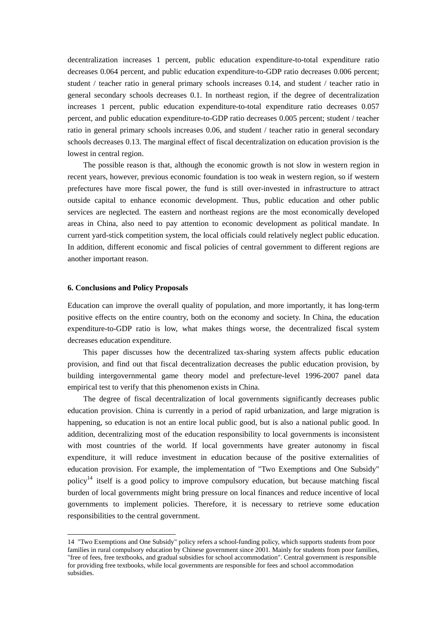decentralization increases 1 percent, public education expenditure-to-total expenditure ratio decreases 0.064 percent, and public education expenditure-to-GDP ratio decreases 0.006 percent; student / teacher ratio in general primary schools increases 0.14, and student / teacher ratio in general secondary schools decreases 0.1. In northeast region, if the degree of decentralization increases 1 percent, public education expenditure-to-total expenditure ratio decreases 0.057 percent, and public education expenditure-to-GDP ratio decreases 0.005 percent; student / teacher ratio in general primary schools increases 0.06, and student / teacher ratio in general secondary schools decreases 0.13. The marginal effect of fiscal decentralization on education provision is the lowest in central region.

The possible reason is that, although the economic growth is not slow in western region in recent years, however, previous economic foundation is too weak in western region, so if western prefectures have more fiscal power, the fund is still over-invested in infrastructure to attract outside capital to enhance economic development. Thus, public education and other public services are neglected. The eastern and northeast regions are the most economically developed areas in China, also need to pay attention to economic development as political mandate. In current yard-stick competition system, the local officials could relatively neglect public education. In addition, different economic and fiscal policies of central government to different regions are another important reason.

#### **6. Conclusions and Policy Proposals**

<u>.</u>

Education can improve the overall quality of population, and more importantly, it has long-term positive effects on the entire country, both on the economy and society. In China, the education expenditure-to-GDP ratio is low, what makes things worse, the decentralized fiscal system decreases education expenditure.

This paper discusses how the decentralized tax-sharing system affects public education provision, and find out that fiscal decentralization decreases the public education provision, by building intergovernmental game theory model and prefecture-level 1996-2007 panel data empirical test to verify that this phenomenon exists in China.

The degree of fiscal decentralization of local governments significantly decreases public education provision. China is currently in a period of rapid urbanization, and large migration is happening, so education is not an entire local public good, but is also a national public good. In addition, decentralizing most of the education responsibility to local governments is inconsistent with most countries of the world. If local governments have greater autonomy in fiscal expenditure, it will reduce investment in education because of the positive externalities of education provision. For example, the implementation of "Two Exemptions and One Subsidy" policy<sup>14</sup> itself is a good policy to improve compulsory education, but because matching fiscal burden of local governments might bring pressure on local finances and reduce incentive of local governments to implement policies. Therefore, it is necessary to retrieve some education responsibilities to the central government.

<sup>14 &</sup>quot;Two Exemptions and One Subsidy" policy refers a school-funding policy, which supports students from poor families in rural compulsory education by Chinese government since 2001. Mainly for students from poor families, "free of fees, free textbooks, and gradual subsidies for school accommodation". Central government is responsible for providing free textbooks, while local governments are responsible for fees and school accommodation subsidies.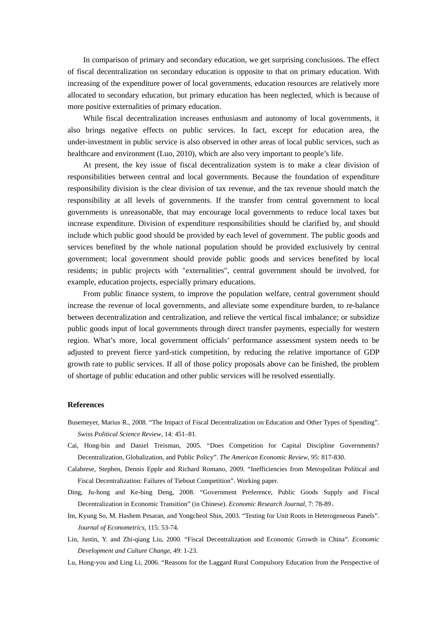In comparison of primary and secondary education, we get surprising conclusions. The effect of fiscal decentralization on secondary education is opposite to that on primary education. With increasing of the expenditure power of local governments, education resources are relatively more allocated to secondary education, but primary education has been neglected, which is because of more positive externalities of primary education.

While fiscal decentralization increases enthusiasm and autonomy of local governments, it also brings negative effects on public services. In fact, except for education area, the under-investment in public service is also observed in other areas of local public services, such as healthcare and environment (Luo, 2010), which are also very important to people's life.

At present, the key issue of fiscal decentralization system is to make a clear division of responsibilities between central and local governments. Because the foundation of expenditure responsibility division is the clear division of tax revenue, and the tax revenue should match the responsibility at all levels of governments. If the transfer from central government to local governments is unreasonable, that may encourage local governments to reduce local taxes but increase expenditure. Division of expenditure responsibilities should be clarified by, and should include which public good should be provided by each level of government. The public goods and services benefited by the whole national population should be provided exclusively by central government; local government should provide public goods and services benefited by local residents; in public projects with "externalities", central government should be involved, for example, education projects, especially primary educations.

From public finance system, to improve the population welfare, central government should increase the revenue of local governments, and alleviate some expenditure burden, to re-balance between decentralization and centralization, and relieve the vertical fiscal imbalance; or subsidize public goods input of local governments through direct transfer payments, especially for western region. What's more, local government officials' performance assessment system needs to be adjusted to prevent fierce yard-stick competition, by reducing the relative importance of GDP growth rate to public services. If all of those policy proposals above can be finished, the problem of shortage of public education and other public services will be resolved essentially.

### **References**

- Busemeyer, Marius R., 2008. "The Impact of Fiscal Decentralization on Education and Other Types of Spending". *Swiss Political Science Review*, 14: 451–81.
- Cai, Hong-bin and Daniel Treisman, 2005. "Does Competition for Capital Discipline Governments? Decentralization, Globalization, and Public Policy". *The American Economic Review*, 95: 817-830.
- Calabrese, Stephen, Dennis Epple and Richard Romano, 2009. "Inefficiencies from Metropolitan Political and Fiscal Decentralization: Failures of Tiebout Competition". Working paper.
- Ding, Ju-hong and Ke-bing Deng, 2008. "Government Preference, Public Goods Supply and Fiscal Decentralization in Economic Transition" (in Chinese). *Economic Research Journal*, 7: 78-89。
- Im, Kyung So, M. Hashem Pesaran, and Yongcheol Shin, 2003. "Testing for Unit Roots in Heterogeneous Panels". *Journal of Econometrics*, 115: 53-74.
- Lin, Justin, Y. and Zhi-qiang Liu, 2000. "Fiscal Decentralization and Economic Growth in China". *Economic Development and Culture Change*, 49: 1-23.
- Lu, Hong-you and Ling Li, 2006. "Reasons for the Laggard Rural Compulsory Education from the Perspective of